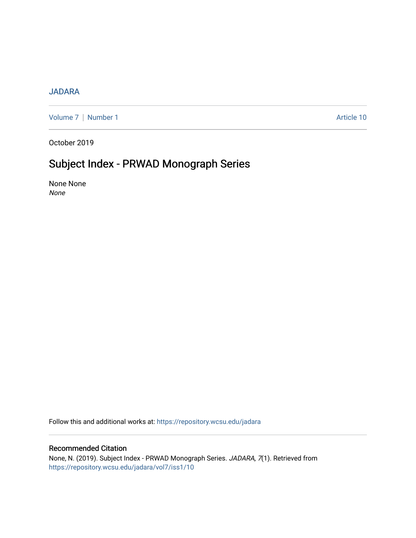## [JADARA](https://repository.wcsu.edu/jadara)

[Volume 7](https://repository.wcsu.edu/jadara/vol7) | [Number 1](https://repository.wcsu.edu/jadara/vol7/iss1) Article 10

October 2019

# Subject Index - PRWAD Monograph Series

None None None

Follow this and additional works at: [https://repository.wcsu.edu/jadara](https://repository.wcsu.edu/jadara?utm_source=repository.wcsu.edu%2Fjadara%2Fvol7%2Fiss1%2F10&utm_medium=PDF&utm_campaign=PDFCoverPages)

### Recommended Citation

None, N. (2019). Subject Index - PRWAD Monograph Series. JADARA, 7(1). Retrieved from [https://repository.wcsu.edu/jadara/vol7/iss1/10](https://repository.wcsu.edu/jadara/vol7/iss1/10?utm_source=repository.wcsu.edu%2Fjadara%2Fvol7%2Fiss1%2F10&utm_medium=PDF&utm_campaign=PDFCoverPages)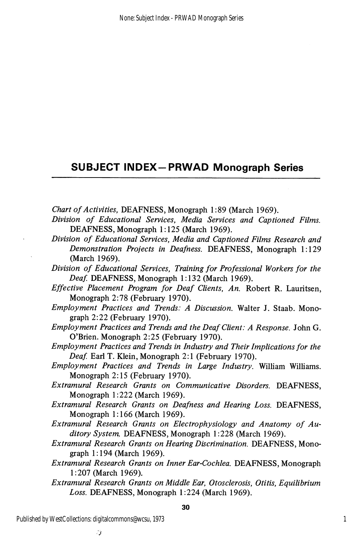# SUBJECT INDEX-PRWAD Monograph Series

Chart of Activities, DEAFNESS, Monograph 1:89 (March 1969).

- Division of Educational Services, Media Services and Captioned Films. DEAFNESS, Monograph 1:125 (March 1969).
- Division of Educational Services, Media and Captioned Films Research and Demonstration Projects in Deafness. DEAFNESS, Monograph 1:129 (March 1969).
- Division of Educational Services, Training for Professional Workers for the Deaf. DEAFNESS, Monograph 1:132 (March 1969).
- Effective Placement Program for Deaf Clients, An. Robert R. Lauritsen, Monograph 2:78 (February 1970).
- Employment Practices and Trends: A Discussion. Walter J. Staab. Mono graph 2:22 (February 1970).
- Employment Practices and Trends and the Deaf Client: A Response. John G. O'Brien. Monograph 2:25 (February 1970).
- Employment Practices and Trends in Industry and Their Implications for the Deaf. Earl T. Klein, Monograph 2:1 (February 1970).
- Employment Practices and Trends in Large Industry. William Williams. Monograph 2:15 (February 1970).
- Extramural Research Grants on Communicative Disorders. DEAFNESS, Monograph 1:222 (March 1969).
- Extramural Research Grants on Deafness and Hearing Loss. DEAFNESS, Monograph 1:166 (March 1969).
- Extramural Research Grants on Electrophysiology and Anatomy of Au ditory System. DEAFNESS, Monograph 1:228 (March 1969).
- Extramural Research Grants on Hearing Discrimination. DEAFNESS, Mono graph 1:194 (March 1969).
- Extramural Research Grants on Inner Ear-Cochlea. DEAFNESS, Monograph 1:207 (March 1969).
- Extramural Research Grants on Middle Ear, Qtosclerosis, Otitis, Equilibrium Loss. DEAFNESS, Monograph 1:224 (March 1969).

- 3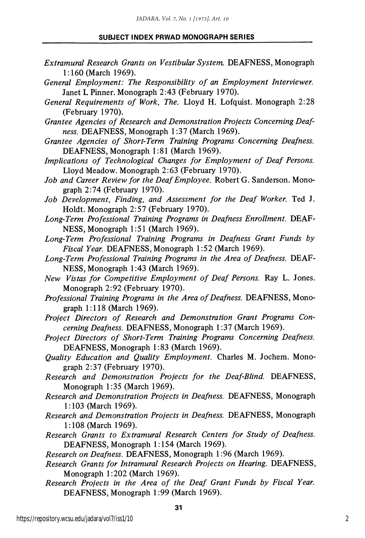### SUBJECT INDEX PRWAD MONOGRAPH SERIES

- Extramural Research Grants on Vestibular System. DEAFNESS, Monograph 1:160 (March 1969).
- General Employment: The Responsibility of an Employment Interviewer. Janet L Pinner. Monograph 2:43 (February 1970).
- General Requirements of Work, The. Lloyd H. Lofquist. Monograph 2:28 (February 1970).
- Grantee Agencies of Research and Demonstration Projects Concerning Deaf ness. DEAFNESS, Monograph 1:37 (March 1969).
- Grantee Agencies of Short-Term Training Programs Concerning Deafness. DEAFNESS, Monograph 1:81 (March 1969).
- Implications of Technological Changes for Employment of Deaf Persons. Lloyd Meadow. Monograph 2:63 (February 1970).
- Job and Career Review for the Deaf Employee. Robert G. Sanderson. Mono graph 2:74 (February 1970).
- Job Development, Finding, and Assessment for the Deaf Worker. Ted J. Holdt. Monograph 2:57 (February 1970).
- Long-Term Professional Training Programs in Deafness Enrollment. DEAF NESS, Monograph 1:51 (March 1969).
- Long-Term Professional Training Programs in Deafness Grant Funds by Fiscal Year. DEAFNESS, Monograph 1:52 (March 1969).
- Long-Term Professional Training Programs in the Area of Deafness. DEAF NESS, Monograph 1:43 (March 1969).
- New Vistas for Competitive Employment of Deaf Persons. Ray L. Jones. Monograph 2:92 (February 1970).
- Professional Training Programs in the Area of Deafness. DEAFNESS, Monograph 1:118 (March 1969).
- Project Directors of Research and Demonstration Grant Programs Con cerning Deafness. DEAFNESS, Monograph 1:37 (March 1969).
- Project Directors of Short-Term Training Programs Concerning Deafness. DEAFNESS, Monograph 1:83 (March 1969).
- Quality Education and Quality Employment. Charles M. Jochem. Mono graph 2:37 (February 1970).
- Research and Demonstration Projects for the Deaf-Blind. DEAFNESS, Monograph 1:35 (March 1969).
- Research and Demonstration Projects in Deafness. DEAFNESS, Monograph 1:103 (March 1969).
- Research and Demonstration Projects in Deafness. DEAFNESS, Monograph 1:108 (March 1969).
- Research Grants to Extramural Research Centers for Study of Deafness. DEAFNESS, Monograph 1:154 (March 1969).
- Research on Deafness. DEAFNESS, Monograph 1:96 (March 1969).
- Research Grants for Intramural Research Projects on Hearing. DEAFNESS, Monograph 1:202 (March 1969).
- Research Projects in the Area of the Deaf Grant Funds by Fiscal Year. DEAFNESS, Monograph 1:99 (March 1969).